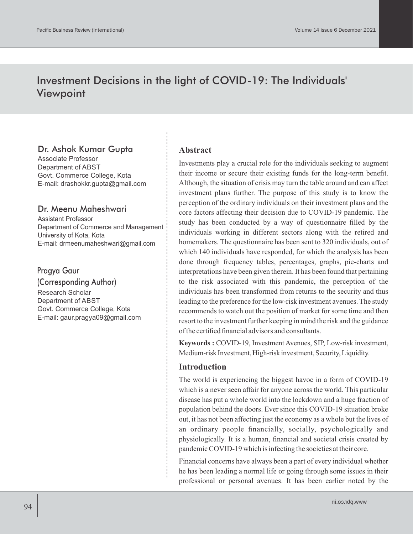# Investment Decisions in the light of COVID-19: The Individuals' Viewpoint

### Dr. Ashok Kumar Gupta

Associate Professor Department of ABST Govt. Commerce College, Kota E-mail: drashokkr.gupta@gmail.com

#### Dr. Meenu Maheshwari

Assistant Professor Department of Commerce and Management University of Kota, Kota E-mail: drmeenumaheshwari@gmail.com

#### Pragya Gaur

(Corresponding Author) Research Scholar Department of ABST Govt. Commerce College, Kota E-mail: gaur.pragya09@gmail.com

#### **Abstract**

Investments play a crucial role for the individuals seeking to augment their income or secure their existing funds for the long-term benefit. Although, the situation of crisis may turn the table around and can affect investment plans further. The purpose of this study is to know the perception of the ordinary individuals on their investment plans and the core factors affecting their decision due to COVID-19 pandemic. The study has been conducted by a way of questionnaire filled by the individuals working in different sectors along with the retired and homemakers. The questionnaire has been sent to 320 individuals, out of which 140 individuals have responded, for which the analysis has been done through frequency tables, percentages, graphs, pie-charts and interpretations have been given therein. It has been found that pertaining to the risk associated with this pandemic, the perception of the individuals has been transformed from returns to the security and thus leading to the preference for the low-risk investment avenues. The study recommends to watch out the position of market for some time and then resort to the investment further keeping in mind the risk and the guidance of the certified financial advisors and consultants.

**Keywords :** COVID-19, Investment Avenues, SIP, Low-risk investment, Medium-risk Investment, High-risk investment, Security, Liquidity.

#### **Introduction**

The world is experiencing the biggest havoc in a form of COVID-19 which is a never seen affair for anyone across the world. This particular disease has put a whole world into the lockdown and a huge fraction of population behind the doors. Ever since this COVID-19 situation broke out, it has not been affecting just the economy as a whole but the lives of an ordinary people financially, socially, psychologically and physiologically. It is a human, financial and societal crisis created by pandemic COVID-19 which is infecting the societies at their core.

Financial concerns have always been a part of every individual whether he has been leading a normal life or going through some issues in their professional or personal avenues. It has been earlier noted by the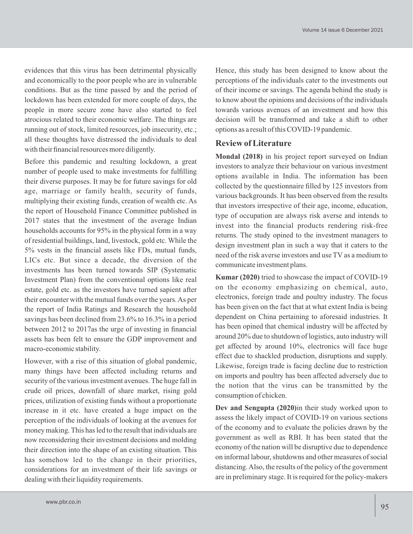evidences that this virus has been detrimental physically and economically to the poor people who are in vulnerable conditions. But as the time passed by and the period of lockdown has been extended for more couple of days, the people in more secure zone have also started to feel atrocious related to their economic welfare. The things are running out of stock, limited resources, job insecurity, etc.; all these thoughts have distressed the individuals to deal with their financial resources more diligently.

Before this pandemic and resulting lockdown, a great number of people used to make investments for fulfilling their diverse purposes. It may be for future savings for old age, marriage or family health, security of funds, multiplying their existing funds, creation of wealth etc. As the report of Household Finance Committee published in 2017 states that the investment of the average Indian households accounts for 95% in the physical form in a way of residential buildings, land, livestock, gold etc. While the 5% vests in the financial assets like FDs, mutual funds, LICs etc. But since a decade, the diversion of the investments has been turned towards SIP (Systematic Investment Plan) from the conventional options like real estate, gold etc. as the investors have turned sapient after their encounter with the mutual funds over the years. As per the report of India Ratings and Research the household savings has been declined from 23.6% to 16.3% in a period between 2012 to 2017as the urge of investing in financial assets has been felt to ensure the GDP improvement and macro-economic stability.

However, with a rise of this situation of global pandemic, many things have been affected including returns and security of the various investment avenues. The huge fall in crude oil prices, downfall of share market, rising gold prices, utilization of existing funds without a proportionate increase in it etc. have created a huge impact on the perception of the individuals of looking at the avenues for money making. This has led to the result that individuals are now reconsidering their investment decisions and molding their direction into the shape of an existing situation. This has somehow led to the change in their priorities, considerations for an investment of their life savings or dealing with their liquidity requirements.

Hence, this study has been designed to know about the perceptions of the individuals cater to the investments out of their income or savings. The agenda behind the study is to know about the opinions and decisions of the individuals towards various avenues of an investment and how this decision will be transformed and take a shift to other options as a result of this COVID-19 pandemic.

#### **Review of Literature**

**Mondal (2018)** in his project report surveyed on Indian investors to analyze their behaviour on various investment options available in India. The information has been collected by the questionnaire filled by 125 investors from various backgrounds. It has been observed from the results that investors irrespective of their age, income, education, type of occupation are always risk averse and intends to invest into the financial products rendering risk-free returns. The study opined to the investment managers to design investment plan in such a way that it caters to the need of the risk averse investors and use TV as a medium to communicate investment plans.

**Kumar (2020)** tried to showcase the impact of COVID-19 on the economy emphasizing on chemical, auto, electronics, foreign trade and poultry industry. The focus has been given on the fact that at what extent India is being dependent on China pertaining to aforesaid industries. It has been opined that chemical industry will be affected by around 20% due to shutdown of logistics, auto industry will get affected by around 10%, electronics will face huge effect due to shackled production, disruptions and supply. Likewise, foreign trade is facing decline due to restriction on imports and poultry has been affected adversely due to the notion that the virus can be transmitted by the consumption of chicken.

**Dev and Sengupta (2020)**in their study worked upon to assess the likely impact of COVID-19 on various sections of the economy and to evaluate the policies drawn by the government as well as RBI. It has been stated that the economy of the nation will be disruptive due to dependence on informal labour, shutdowns and other measures of social distancing. Also, the results of the policy of the government are in preliminary stage. It is required for the policy-makers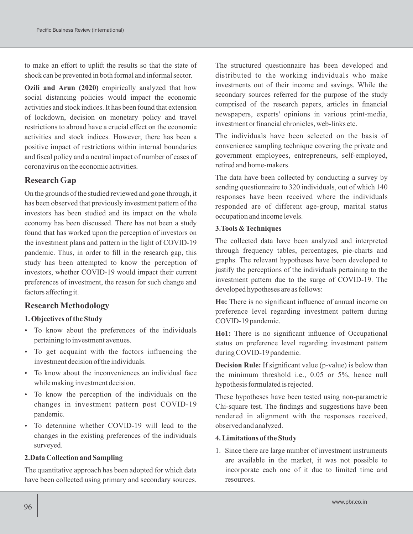to make an effort to uplift the results so that the state of shock can be prevented in both formal and informal sector.

**Ozili and Arun (2020)** empirically analyzed that how social distancing policies would impact the economic activities and stock indices. It has been found that extension of lockdown, decision on monetary policy and travel restrictions to abroad have a crucial effect on the economic activities and stock indices. However, there has been a positive impact of restrictions within internal boundaries and fiscal policy and a neutral impact of number of cases of coronavirus on the economic activities.

#### **Research Gap**

On the grounds of the studied reviewed and gone through, it has been observed that previously investment pattern of the investors has been studied and its impact on the whole economy has been discussed. There has not been a study found that has worked upon the perception of investors on the investment plans and pattern in the light of COVID-19 pandemic. Thus, in order to fill in the research gap, this study has been attempted to know the perception of investors, whether COVID-19 would impact their current preferences of investment, the reason for such change and factors affecting it.

### **Research Methodology**

#### **1. Objectives of the Study**

- To know about the preferences of the individuals pertaining to investment avenues.
- To get acquaint with the factors influencing the investment decision of the individuals.
- To know about the inconveniences an individual face while making investment decision.
- To know the perception of the individuals on the changes in investment pattern post COVID-19 pandemic.
- To determine whether COVID-19 will lead to the changes in the existing preferences of the individuals surveyed.

#### **2.Data Collection and Sampling**

The quantitative approach has been adopted for which data have been collected using primary and secondary sources.

The structured questionnaire has been developed and distributed to the working individuals who make investments out of their income and savings. While the secondary sources referred for the purpose of the study comprised of the research papers, articles in financial newspapers, experts' opinions in various print-media, investment or financial chronicles, web-links etc.

The individuals have been selected on the basis of convenience sampling technique covering the private and government employees, entrepreneurs, self-employed, retired and home-makers.

The data have been collected by conducting a survey by sending questionnaire to 320 individuals, out of which 140 responses have been received where the individuals responded are of different age-group, marital status occupation and income levels.

#### **3.Tools & Techniques**

The collected data have been analyzed and interpreted through frequency tables, percentages, pie-charts and graphs. The relevant hypotheses have been developed to justify the perceptions of the individuals pertaining to the investment pattern due to the surge of COVID-19. The developed hypotheses are as follows:

**Ho:** There is no significant influence of annual income on preference level regarding investment pattern during COVID-19 pandemic.

**Ho1:** There is no significant influence of Occupational status on preference level regarding investment pattern during COVID-19 pandemic.

**Decision Rule:** If significant value (p-value) is below than the minimum threshold i.e., 0.05 or 5%, hence null hypothesis formulated is rejected.

These hypotheses have been tested using non-parametric Chi-square test. The findings and suggestions have been rendered in alignment with the responses received, observed and analyzed.

#### **4. Limitations of the Study**

1. Since there are large number of investment instruments are available in the market, it was not possible to incorporate each one of it due to limited time and resources.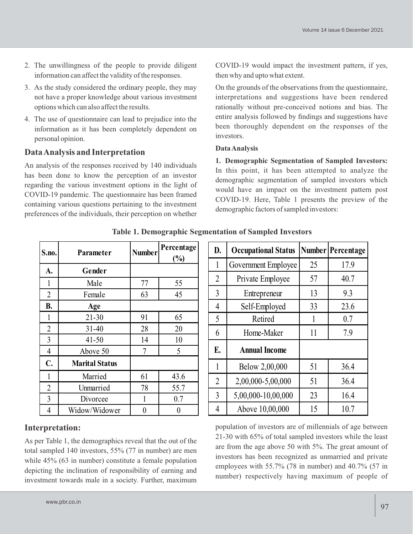- 2. The unwillingness of the people to provide diligent information can affect the validity of the responses.
- 3. As the study considered the ordinary people, they may not have a proper knowledge about various investment options which can also affect the results.
- 4. The use of questionnaire can lead to prejudice into the information as it has been completely dependent on personal opinion.

# **Data Analysis and Interpretation**

An analysis of the responses received by 140 individuals has been done to know the perception of an investor regarding the various investment options in the light of COVID-19 pandemic. The questionnaire has been framed containing various questions pertaining to the investment preferences of the individuals, their perception on whether

COVID-19 would impact the investment pattern, if yes, then why and upto what extent.

On the grounds of the observations from the questionnaire, interpretations and suggestions have been rendered rationally without pre-conceived notions and bias. The entire analysis followed by findings and suggestions have been thoroughly dependent on the responses of the investors.

### **Data Analysis**

**1. Demographic Segmentation of Sampled Investors:** In this point, it has been attempted to analyze the demographic segmentation of sampled investors which would have an impact on the investment pattern post COVID-19. Here, Table 1 presents the preview of the demographic factors of sampled investors:

| S.no.          | Parameter             | <b>Number</b> | Percentage<br>$\frac{0}{0}$ |
|----------------|-----------------------|---------------|-----------------------------|
| A.             | Gender                |               |                             |
| 1              | Male                  | 77            | 55                          |
| $\overline{2}$ | Female                | 63            | 45                          |
| <b>B.</b>      | Age                   |               |                             |
| 1              | $21 - 30$             | 91            | 65                          |
| $\overline{2}$ | $31 - 40$             | 28            | 20                          |
| 3              | $41 - 50$             | 14            | 10                          |
| $\overline{4}$ | Above 50              | 7             | 5                           |
| C.             | <b>Marital Status</b> |               |                             |
| $\mathbf{1}$   | Married               | 61            | 43.6                        |
| $\overline{2}$ | Unmarried             | 78            | 55.7                        |
| 3              | Divorcee              | 1             | 0.7                         |
| $\overline{4}$ | Widow/Widower         | 0             | $\overline{0}$              |

**Table 1. Demographic Segmentation of Sampled Investors**

| D.             | <b>Occupational Status</b> |    | Number Percentage |
|----------------|----------------------------|----|-------------------|
| 1              | Government Employee        | 25 | 17.9              |
| $\overline{2}$ | Private Employee           | 57 | 40.7              |
| 3              | Entrepreneur               | 13 | 9.3               |
| 4              | Self-Employed              | 33 | 23.6              |
| 5              | Retired                    | 1  | 0.7               |
| 6              | Home-Maker                 | 11 | 7.9               |
| E.             | <b>Annual Income</b>       |    |                   |
| 1              | Below 2,00,000             | 51 | 36.4              |
| $\overline{2}$ | 2,00,000-5,00,000          | 51 | 36.4              |
| 3              | 5,00,000-10,00,000         | 23 | 16.4              |
| 4              | Above 10,00,000            | 15 | 10.7              |

### **Interpretation:**

As per Table 1, the demographics reveal that the out of the total sampled 140 investors, 55% (77 in number) are men while 45% (63 in number) constitute a female population depicting the inclination of responsibility of earning and investment towards male in a society. Further, maximum population of investors are of millennials of age between 21-30 with 65% of total sampled investors while the least are from the age above 50 with 5%. The great amount of investors has been recognized as unmarried and private employees with 55.7% (78 in number) and 40.7% (57 in number) respectively having maximum of people of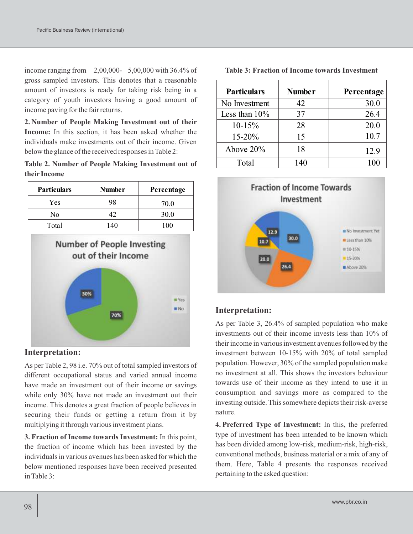income ranging from 2,00,000- 5,00,000 with 36.4% of gross sampled investors. This denotes that a reasonable amount of investors is ready for taking risk being in a category of youth investors having a good amount of income paving for the fair returns.

**2. Number of People Making Investment out of their Income:** In this section, it has been asked whether the individuals make investments out of their income. Given below the glance of the received responses in Table 2:

| Table 2. Number of People Making Investment out of |  |  |
|----------------------------------------------------|--|--|
| their Income                                       |  |  |

| <b>Particulars</b> | <b>Number</b> | Percentage |
|--------------------|---------------|------------|
| Yes                | 98            | 70.0       |
| No                 | 17            | 30.0       |
| Total              | 140           | 100        |



### **Interpretation:**

As per Table 2, 98 i.e. 70% out of total sampled investors of different occupational status and varied annual income have made an investment out of their income or savings while only 30% have not made an investment out their income. This denotes a great fraction of people believes in securing their funds or getting a return from it by multiplying it through various investment plans.

**3. Fraction of Income towards Investment:** In this point, the fraction of income which has been invested by the individuals in various avenues has been asked for which the below mentioned responses have been received presented in Table 3:

**Table 3: Fraction of Income towards Investment**

| <b>Particulars</b> | <b>Number</b> | Percentage |
|--------------------|---------------|------------|
| No Investment      | 42            | 30.0       |
| Less than $10\%$   | 37            | 26.4       |
| $10-15%$           | 28            | 20.0       |
| $15 - 20%$         | 15            | 10.7       |
| Above $20\%$       | 18            | 12.9       |
| Total              | 140           | 100        |



### **Interpretation:**

As per Table 3, 26.4% of sampled population who make investments out of their income invests less than 10% of their income in various investment avenues followed by the investment between 10-15% with 20% of total sampled population. However, 30% of the sampled population make no investment at all. This shows the investors behaviour towards use of their income as they intend to use it in consumption and savings more as compared to the investing outside. This somewhere depicts their risk-averse nature.

**4. Preferred Type of Investment:** In this, the preferred type of investment has been intended to be known which has been divided among low-risk, medium-risk, high-risk, conventional methods, business material or a mix of any of them. Here, Table 4 presents the responses received pertaining to the asked question: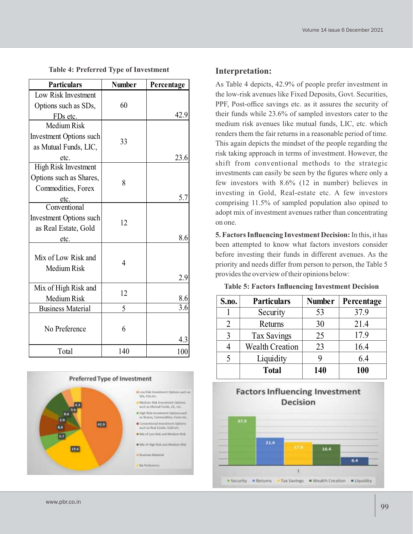|  |  |  |  |  | Volume 14 issue 6 December 2021 |  |
|--|--|--|--|--|---------------------------------|--|
|--|--|--|--|--|---------------------------------|--|

|  | <b>Table 4: Preferred Type of Investment</b> |
|--|----------------------------------------------|
|--|----------------------------------------------|

| <b>Particulars</b>                        | <b>Number</b> | Percentage |
|-------------------------------------------|---------------|------------|
| Low Risk Investment                       |               |            |
| Options such as SDs,                      | 60            |            |
| FDs etc.                                  |               | 42.9       |
| Medium Risk                               |               |            |
| <b>Investment Options such</b>            | 33            |            |
| as Mutual Funds, LIC,                     |               |            |
| etc.                                      |               | 23.6       |
| High Risk Investment                      |               |            |
| Options such as Shares,                   |               |            |
| Commodities, Forex                        | 8             |            |
|                                           |               | 5.7        |
| etc.<br>Conventional                      |               |            |
| <b>Investment Options such</b>            | 12            |            |
| as Real Estate, Gold                      |               |            |
| etc.                                      |               | 8.6        |
| Mix of Low Risk and<br><b>Medium Risk</b> | 4             |            |
|                                           |               | 2.9        |
| Mix of High Risk and                      | 12            |            |
| Medium Risk                               |               | 8.6        |
| <b>Business Material</b>                  | 5             | 3.6        |
| No Preference                             | 6             |            |
|                                           |               | 4.3        |
| Total                                     | 140           | 100        |



#### **Interpretation:**

As Table 4 depicts, 42.9% of people prefer investment in the low-risk avenues like Fixed Deposits, Govt. Securities, PPF, Post-office savings etc. as it assures the security of their funds while 23.6% of sampled investors cater to the medium risk avenues like mutual funds, LIC, etc. which renders them the fair returns in a reasonable period of time. This again depicts the mindset of the people regarding the risk taking approach in terms of investment. However, the shift from conventional methods to the strategic investments can easily be seen by the figures where only a few investors with 8.6% (12 in number) believes in investing in Gold, Real-estate etc. A few investors comprising 11.5% of sampled population also opined to adopt mix of investment avenues rather than concentrating on one.

**5. Factors Influencing Investment Decision:** In this, it has been attempted to know what factors investors consider before investing their funds in different avenues. As the priority and needs differ from person to person, the Table 5 provides the overview of their opinions below:

#### **Table 5: Factors Influencing Investment Decision**

| S.no. | <b>Particulars</b>     | <b>Number</b> | Percentage |
|-------|------------------------|---------------|------------|
|       | Security               | 53            | 37.9       |
| 2     | Returns                | 30            | 21.4       |
| 3     | <b>Tax Savings</b>     | 25            | 17.9       |
|       | <b>Wealth Creation</b> | 23            | 16.4       |
| 5     | Liquidity              |               | 6.4        |
|       | <b>Total</b>           | 140           | 100        |

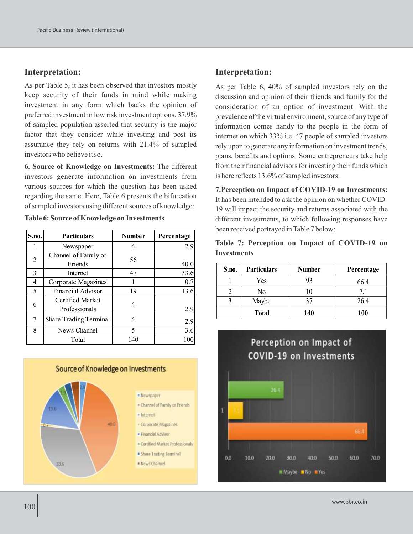#### **Interpretation:**

As per Table 5, it has been observed that investors mostly keep security of their funds in mind while making investment in any form which backs the opinion of preferred investment in low risk investment options. 37.9% of sampled population asserted that security is the major factor that they consider while investing and post its assurance they rely on returns with 21.4% of sampled investors who believe it so.

**6. Source of Knowledge on Investments:** The different investors generate information on investments from various sources for which the question has been asked regarding the same. Here, Table 6 presents the bifurcation of sampled investors using different sources of knowledge:

**Table 6: Source of Knowledge on Investments**

| S.no. | <b>Particulars</b>            | <b>Number</b> | Percentage |
|-------|-------------------------------|---------------|------------|
|       | Newspaper                     |               | 2.9        |
| 2     | Channel of Family or          | 56            |            |
|       | Friends                       |               | 40.0       |
| 3     | Internet                      | 47            | 33.6       |
| 4     | Corporate Magazines           |               | 0.7        |
| 5     | <b>Financial Advisor</b>      | 19            | 13.6       |
| 6     | Certified Market              |               |            |
|       | Professionals                 |               | 2.9        |
| 7     | <b>Share Trading Terminal</b> |               | 2.9        |
| 8     | News Channel                  | 5             | 3.6        |
|       | Total                         | 140           |            |



#### **Interpretation:**

As per Table 6, 40% of sampled investors rely on the discussion and opinion of their friends and family for the consideration of an option of investment. With the prevalence of the virtual environment, source of any type of information comes handy to the people in the form of internet on which 33% i.e. 47 people of sampled investors rely upon to generate any information on investment trends, plans, benefits and options. Some entrepreneurs take help from their financial advisors for investing their funds which is here reflects 13.6% of sampled investors.

**7.Perception on Impact of COVID-19 on Investments:**  It has been intended to ask the opinion on whether COVID-19 will impact the security and returns associated with the different investments, to which following responses have been received portrayed in Table 7 below:

**Table 7: Perception on Impact of COVID-19 on Investments**

| S.no. | <b>Particulars</b> | <b>Number</b> | Percentage |
|-------|--------------------|---------------|------------|
|       | Yes                | 93            | 66.4       |
|       | No                 |               | 7.1        |
|       | Maybe              |               | 26.4       |
|       | <b>Total</b>       | 140           | <b>100</b> |

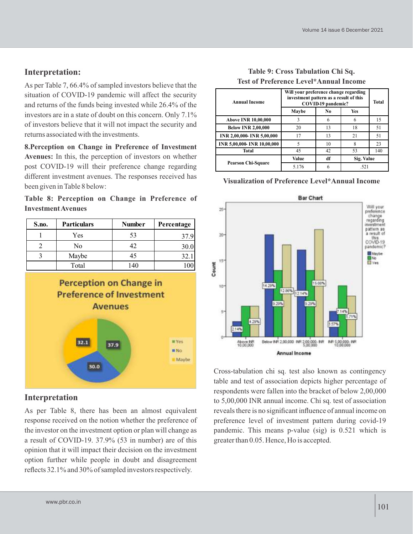# **Interpretation:**

As per Table 7, 66.4% of sampled investors believe that the situation of COVID-19 pandemic will affect the security and returns of the funds being invested while 26.4% of the investors are in a state of doubt on this concern. Only 7.1% of investors believe that it will not impact the security and returns associated with the investments.

**8.Perception on Change in Preference of Investment Avenues:** In this, the perception of investors on whether post COVID-19 will their preference change regarding different investment avenues. The responses received has been given in Table 8 below:

|  |                           |  | Table 8: Perception on Change in Preference of |  |
|--|---------------------------|--|------------------------------------------------|--|
|  | <b>Investment Avenues</b> |  |                                                |  |

| S.no. | <b>Particulars</b> | <b>Number</b> | Percentage |
|-------|--------------------|---------------|------------|
|       | Yes                | 53            | 37.9       |
|       | No                 | 42            | 30.0       |
|       | Maybe              |               | 32.        |
|       | Total              | 140           |            |



## **Interpretation**

As per Table 8, there has been an almost equivalent response received on the notion whether the preference of the investor on the investment option or plan will change as a result of COVID-19. 37.9% (53 in number) are of this opinion that it will impact their decision on the investment option further while people in doubt and disagreement reflects 32.1% and 30% of sampled investors respectively.

| <b>Annual Income</b>        | Will your preference change regarding<br>investment pattern as a result of this<br>COVID-19 pandemic? |     |            | <b>Total</b> |
|-----------------------------|-------------------------------------------------------------------------------------------------------|-----|------------|--------------|
|                             | Maybe                                                                                                 | No. | <b>Yes</b> |              |
| <b>Above INR 10,00,000</b>  | 3                                                                                                     | 6   | 6          | 15           |
| <b>Below INR 2,00,000</b>   | 20                                                                                                    | 13  | 18         | 51           |
| INR 2,00,000- INR 5,00,000  | 17                                                                                                    | 13  | 21         | 51           |
| INR 5,00,000- INR 10,00,000 | 5                                                                                                     | 10  | 8          | 23           |
| <b>Total</b>                | 45                                                                                                    | 42  | 53         | 140          |
|                             | Value                                                                                                 | df  | Sig. Value |              |
| <b>Pearson Chi-Square</b>   | 5.176                                                                                                 | 6   | .521       |              |

#### **Table 9: Cross Tabulation Chi Sq. Test of Preference Level\*Annual Income**

#### **Visualization of Preference Level\*Annual Income**



Cross-tabulation chi sq. test also known as contingency table and test of association depicts higher percentage of respondents were fallen into the bracket of below 2,00,000 to 5,00,000 INR annual income. Chi sq. test of association reveals there is no significant influence of annual income on preference level of investment pattern during covid-19 pandemic. This means p-value (sig) is 0.521 which is greater than 0.05. Hence, Ho is accepted.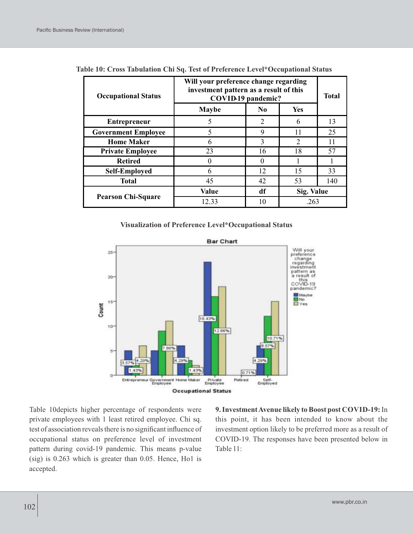| <b>Occupational Status</b> | Will your preference change regarding<br>investment pattern as a result of this<br>COVID-19 pandemic? | <b>Total</b>   |                |     |
|----------------------------|-------------------------------------------------------------------------------------------------------|----------------|----------------|-----|
|                            | <b>Maybe</b>                                                                                          | N <sub>0</sub> | Yes            |     |
| <b>Entrepreneur</b>        | 5                                                                                                     | 2              | 6              | 13  |
| <b>Government Employee</b> | 5                                                                                                     | 9              | 11             | 25  |
| <b>Home Maker</b>          | 6                                                                                                     | $\mathcal{R}$  | $\mathfrak{D}$ | 11  |
| <b>Private Employee</b>    | 23                                                                                                    | 16             | 18             | 57  |
| <b>Retired</b>             |                                                                                                       | $\Omega$       |                |     |
| <b>Self-Employed</b>       | 6                                                                                                     | 12             | 15             | 33  |
| <b>Total</b>               | 45                                                                                                    | 42             | 53             | 140 |
|                            | <b>Value</b>                                                                                          | df             | Sig. Value     |     |
| <b>Pearson Chi-Square</b>  | 12.33                                                                                                 | 10             | .263           |     |

| Table 10: Cross Tabulation Chi Sq. Test of Preference Level*Occupational Status |  |  |  |  |
|---------------------------------------------------------------------------------|--|--|--|--|
|---------------------------------------------------------------------------------|--|--|--|--|

#### **Visualization of Preference Level\*Occupational Status**



Table 10depicts higher percentage of respondents were private employees with 1 least retired employee. Chi sq. test of association reveals there is no significant influence of occupational status on preference level of investment pattern during covid-19 pandemic. This means p-value (sig) is 0.263 which is greater than 0.05. Hence, Ho1 is accepted.

**9. Investment Avenue likely to Boost post COVID-19:** In this point, it has been intended to know about the investment option likely to be preferred more as a result of COVID-19. The responses have been presented below in Table 11: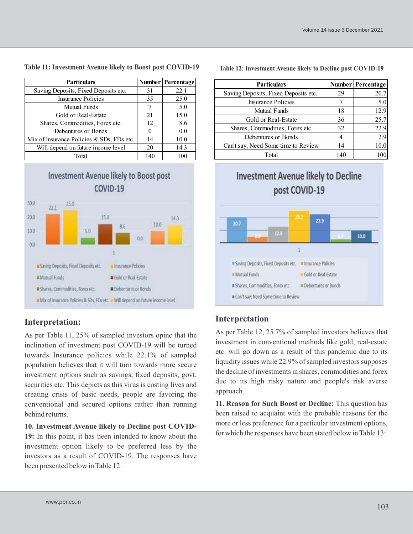**Particulars Number Percentage** Saving Deposits, Fixed Deposits etc. 31 22.1 Insurance Policies 35 25.0 Mutual Funds 7 7 5.0 Gold or Real-Estate 21 15.0

Shares, Commodities, Forex etc. 12 8.6 Debentures or Bonds  $\begin{array}{|c|c|c|c|c|c|} \hline 0 & 0 & 0.0 \end{array}$ 

Total 140 100

Mix of Insurance Policies & SDs, FDs etc.  $\begin{vmatrix} 14 & 10.0 \end{vmatrix}$ Will depend on future income level 20 14.3

#### **Table 11: Investment Avenue likely to Boost post COVID-19**



### **Interpretation:**

As per Table 11, 25% of sampled investors opine that the inclination of investment post COVID-19 will be turned towards Insurance policies while 22.1% of sampled population believes that it will turn towards more secure investment options such as savings, fixed deposits, govt. securities etc. This depicts as this virus is costing lives and creating crisis of basic needs, people are favoring the conventional and secured options rather than running behind returns.

**10. Investment Avenue likely to Decline post COVID-19:** In this point, it has been intended to know about the investment option likely to be preferred less by the investors as a result of COVID-19. The responses have been presented below in Table 12:

| <b>Particulars</b>                   |    | Number Percentage |
|--------------------------------------|----|-------------------|
| Saving Deposits, Fixed Deposits etc. | 29 |                   |

**Table 12: Investment Avenue likely to Decline post COVID-19**

Can't say; Need Some time to Review 14 14 10.0

Insurance Policies  $\begin{array}{ccc} 1 & 7 & 5.0 \\ 7 & 1 & 5.0 \end{array}$ Mutual Funds 18 18 12.9 Gold or Real-Estate 1 36 25.7 Shares, Commodities, Forex etc.  $\begin{array}{|c|c|c|c|c|} \hline 32 & 32 & 22.9 \\ \hline \end{array}$ Debentures or Bonds 1 4 2.9

|                                                                                                | Total                                                       |                                                                    | 140 | 100  |
|------------------------------------------------------------------------------------------------|-------------------------------------------------------------|--------------------------------------------------------------------|-----|------|
|                                                                                                | <b>Investment Avenue likely to Decline</b><br>post COVID-19 |                                                                    |     |      |
| 20.7                                                                                           | 12.9                                                        | 22.9                                                               |     | 10.0 |
| Saving Deposits, Fixed Deposits etc.<br><b>Mutual Funds</b><br>Shares, Commodities, Forex etc. |                                                             | · Insurance Policies<br>Gold or Real-Estate<br>Debentures or Bonds |     |      |
| Can't say; Need Some time to Review                                                            |                                                             |                                                                    |     |      |

### **Interpretation**

As per Table 12, 25.7% of sampled investors believes that investment in conventional methods like gold, real-estate etc. will go down as a result of this pandemic due to its liquidity issues while 22.9% of sampled investors supposes the decline of investments in shares, commodities and forex due to its high risky nature and people's risk averse approach.

**11. Reason for Such Boost or Decline:** This question has been raised to acquaint with the probable reasons for the more or less preference for a particular investment options, for which the responses have been stated below in Table 13: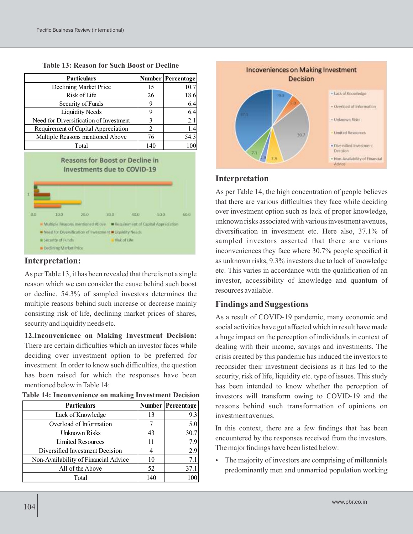| <b>Particulars</b>                     |     | <b>Number Percentage</b> |
|----------------------------------------|-----|--------------------------|
| Declining Market Price                 | 15  | 10.7                     |
| Risk of Life                           | 26  | 18.6                     |
| Security of Funds                      | 9   | 6.4                      |
| <b>Liquidity Needs</b>                 | 9   | 6.4                      |
| Need for Diversification of Investment | 3   | 2.1                      |
| Requirement of Capital Appreciation    | 2   | 1.4                      |
| Multiple Reasons mentioned Above       | 76  | 54.3                     |
| Total                                  | 140 |                          |

**Table 13: Reason for Such Boost or Decline**

#### **Reasons for Boost or Decline in** Investments due to COVID-19



#### **Interpretation:**

As per Table 13, it has been revealed that there is not a single reason which we can consider the cause behind such boost or decline. 54.3% of sampled investors determines the multiple reasons behind such increase or decrease mainly consisting risk of life, declining market prices of shares, security and liquidity needs etc.

**12.Inconvenience on Making Investment Decision:** There are certain difficulties which an investor faces while deciding over investment option to be preferred for investment. In order to know such difficulties, the question has been raised for which the responses have been mentioned below in Table 14:

| <b>Particulars</b>                   |     | <b>Number Percentage</b> |
|--------------------------------------|-----|--------------------------|
| Lack of Knowledge                    | 13  | 9.3                      |
| Overload of Information              |     | 5.0                      |
| Unknown Risks                        | 43  | 30.7                     |
| Limited Resources                    | 11  | 7.9                      |
| Diversified Investment Decision      |     | 2.9                      |
| Non-Availability of Financial Advice | 10  | 7.1                      |
| All of the Above                     | 52  | 37.1                     |
| Total                                | 140 |                          |

**Table 14: Inconvenience on making Investment Decision**



#### **Interpretation**

As per Table 14, the high concentration of people believes that there are various difficulties they face while deciding over investment option such as lack of proper knowledge, unknown risks associated with various investment avenues, diversification in investment etc. Here also, 37.1% of sampled investors asserted that there are various inconveniences they face where 30.7% people specified it as unknown risks, 9.3% investors due to lack of knowledge etc. This varies in accordance with the qualification of an investor, accessibility of knowledge and quantum of resources available.

### **Findings and Suggestions**

As a result of COVID-19 pandemic, many economic and social activities have got affected which in result have made a huge impact on the perception of individuals in context of dealing with their income, savings and investments. The crisis created by this pandemic has induced the investors to reconsider their investment decisions as it has led to the security, risk of life, liquidity etc. type of issues. This study has been intended to know whether the perception of investors will transform owing to COVID-19 and the reasons behind such transformation of opinions on investment avenues.

In this context, there are a few findings that has been encountered by the responses received from the investors. The major findings have been listed below:

 The majority of investors are comprising of millennials predominantly men and unmarried population working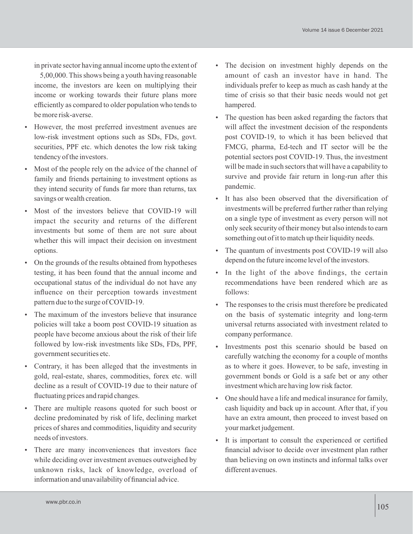in private sector having annual income upto the extent of

5,00,000. This shows being a youth having reasonable income, the investors are keen on multiplying their income or working towards their future plans more efficiently as compared to older population who tends to be more risk-averse.

- However, the most preferred investment avenues are low-risk investment options such as SDs, FDs, govt. securities, PPF etc. which denotes the low risk taking tendency of the investors.
- Most of the people rely on the advice of the channel of family and friends pertaining to investment options as they intend security of funds far more than returns, tax savings or wealth creation.
- Most of the investors believe that COVID-19 will impact the security and returns of the different investments but some of them are not sure about whether this will impact their decision on investment options.
- On the grounds of the results obtained from hypotheses testing, it has been found that the annual income and occupational status of the individual do not have any influence on their perception towards investment pattern due to the surge of COVID-19.
- The maximum of the investors believe that insurance policies will take a boom post COVID-19 situation as people have become anxious about the risk of their life followed by low-risk investments like SDs, FDs, PPF, government securities etc.
- Contrary, it has been alleged that the investments in gold, real-estate, shares, commodities, forex etc. will decline as a result of COVID-19 due to their nature of fluctuating prices and rapid changes.
- There are multiple reasons quoted for such boost or decline predominated by risk of life, declining market prices of shares and commodities, liquidity and security needs of investors.
- There are many inconveniences that investors face while deciding over investment avenues outweighed by unknown risks, lack of knowledge, overload of information and unavailability of financial advice.
- The decision on investment highly depends on the amount of cash an investor have in hand. The individuals prefer to keep as much as cash handy at the time of crisis so that their basic needs would not get hampered.
- The question has been asked regarding the factors that will affect the investment decision of the respondents post COVID-19, to which it has been believed that FMCG, pharma, Ed-tech and IT sector will be the potential sectors post COVID-19. Thus, the investment will be made in such sectors that will have a capability to survive and provide fair return in long-run after this pandemic.
- It has also been observed that the diversification of investments will be preferred further rather than relying on a single type of investment as every person will not only seek security of their money but also intends to earn something out of it to match up their liquidity needs.
- The quantum of investments post COVID-19 will also depend on the future income level of the investors.
- In the light of the above findings, the certain recommendations have been rendered which are as follows:
- The responses to the crisis must therefore be predicated on the basis of systematic integrity and long-term universal returns associated with investment related to company performance.
- Investments post this scenario should be based on carefully watching the economy for a couple of months as to where it goes. However, to be safe, investing in government bonds or Gold is a safe bet or any other investment which are having low risk factor.
- One should have a life and medical insurance for family, cash liquidity and back up in account. After that, if you have an extra amount, then proceed to invest based on your market judgement.
- It is important to consult the experienced or certified financial advisor to decide over investment plan rather than believing on own instincts and informal talks over different avenues.